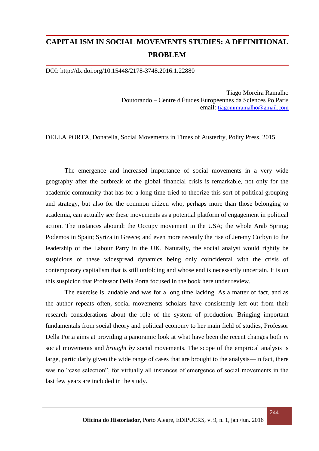## **CAPITALISM IN SOCIAL MOVEMENTS STUDIES: A DEFINITIONAL PROBLEM**

DOI: http://dx.doi.org/10.15448/2178-3748.2016.1.22880

Tiago Moreira Ramalho Doutorando – Centre d'Études Européennes da Sciences Po Paris email: [tiagommramalho@gmail.com](mailto:tiagommramalho@gmail.com)

DELLA PORTA, Donatella, Social Movements in Times of Austerity, Polity Press, 2015.

The emergence and increased importance of social movements in a very wide geography after the outbreak of the global financial crisis is remarkable, not only for the academic community that has for a long time tried to theorize this sort of political grouping and strategy, but also for the common citizen who, perhaps more than those belonging to academia, can actually see these movements as a potential platform of engagement in political action. The instances abound: the Occupy movement in the USA; the whole Arab Spring; Podemos in Spain; Syriza in Greece; and even more recently the rise of Jeremy Corbyn to the leadership of the Labour Party in the UK. Naturally, the social analyst would rightly be suspicious of these widespread dynamics being only coincidental with the crisis of contemporary capitalism that is still unfolding and whose end is necessarily uncertain. It is on this suspicion that Professor Della Porta focused in the book here under review.

The exercise is laudable and was for a long time lacking. As a matter of fact, and as the author repeats often, social movements scholars have consistently left out from their research considerations about the role of the system of production. Bringing important fundamentals from social theory and political economy to her main field of studies, Professor Della Porta aims at providing a panoramic look at what have been the recent changes both *in* social movements and *brought by* social movements. The scope of the empirical analysis is large, particularly given the wide range of cases that are brought to the analysis—in fact, there was no "case selection", for virtually all instances of emergence of social movements in the last few years are included in the study.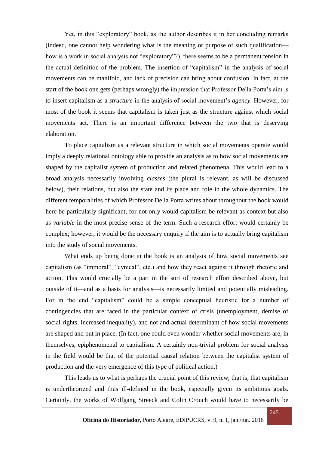Yet, in this "exploratory" book, as the author describes it in her concluding remarks (indeed, one cannot help wondering what is the meaning or purpose of such qualification how is a work in social analysis not "exploratory"?), there seems to be a permanent tension in the actual definition of the problem. The insertion of "capitalism" in the analysis of social movements can be manifold, and lack of precision can bring about confusion. In fact, at the start of the book one gets (perhaps wrongly) the impression that Professor Della Porta's aim is to insert capitalism as a *structure* in the analysis of social movement's *agency*. However, for most of the book it seems that capitalism is taken just as the structure against which social movements act. There is an important difference between the two that is deserving elaboration.

To place capitalism as a relevant structure in which social movements operate would imply a deeply relational ontology able to provide an analysis as to how social movements are shaped by the capitalist system of production and related phenomena. This would lead to a broad analysis necessarily involving *classes* (the plural is relevant, as will be discussed below), their relations, but also the state and its place and role in the whole dynamics. The different temporalities of which Professor Della Porta writes about throughout the book would here be particularly significant, for not only would capitalism be relevant as context but also as *variable* in the most precise sense of the term. Such a research effort would certainly be complex; however, it would be the necessary enquiry if the aim is to actually bring capitalism into the study of social movements.

What ends up being done in the book is an analysis of how social movements see capitalism (as "immoral", "cynical", etc.) and how they react against it through rhetoric and action. This would crucially be a part in the sort of research effort described above, but outside of it—and as a basis for analysis—is necessarily limited and potentially misleading. For in the end "capitalism" could be a simple conceptual heuristic for a number of contingencies that are faced in the particular context of crisis (unemployment, demise of social rights, increased inequality), and not and actual determinant of how social movements are shaped and put in place. (In fact, one could even wonder whether social movements are, in themselves, epiphenomenal to capitalism. A certainly non-trivial problem for social analysis in the field would be that of the potential causal relation between the capitalist system of production and the very emergence of this type of political action.)

This leads us to what is perhaps the crucial point of this review, that is, that capitalism is undertheorized and thus ill-defined in the book, especially given its ambitious goals. Certainly, the works of Wolfgang Streeck and Colin Crouch would have to necessarily be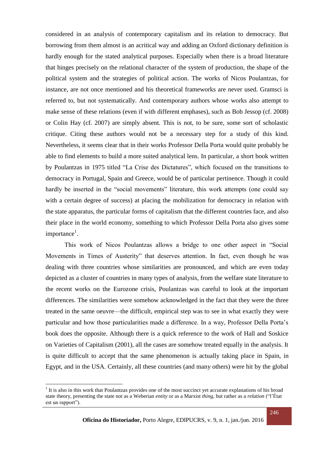considered in an analysis of contemporary capitalism and its relation to democracy. But borrowing from them almost is an acritical way and adding an Oxford dictionary definition is hardly enough for the stated analytical purposes. Especially when there is a broad literature that hinges precisely on the relational character of the system of production, the shape of the political system and the strategies of political action. The works of Nicos Poulantzas, for instance, are not once mentioned and his theoretical frameworks are never used. Gramsci is referred to, but not systematically. And contemporary authors whose works also attempt to make sense of these relations (even if with different emphases), such as Bob Jessop (cf. 2008) or Colin Hay (cf. 2007) are simply absent. This is not, to be sure, some sort of scholastic critique. Citing these authors would not be a necessary step for a study of this kind. Nevertheless, it seems clear that in their works Professor Della Porta would quite probably be able to find elements to build a more suited analytical lens. In particular, a short book written by Poulantzas in 1975 titled "La Crise des Dictatures", which focused on the transitions to democracy in Portugal, Spain and Greece, would be of particular pertinence. Though it could hardly be inserted in the "social movements" literature, this work attempts (one could say with a certain degree of success) at placing the mobilization for democracy in relation with the state apparatus, the particular forms of capitalism that the different countries face, and also their place in the world economy, something to which Professor Della Porta also gives some importance<sup>1</sup>.

This work of Nicos Poulantzas allows a bridge to one other aspect in "Social Movements in Times of Austerity" that deserves attention. In fact, even though he was dealing with three countries whose similarities are pronounced, and which are even today depicted as a cluster of countries in many types of analysis, from the welfare state literature to the recent works on the Eurozone crisis, Poulantzas was careful to look at the important differences. The similarities were somehow acknowledged in the fact that they were the three treated in the same oeuvre—the difficult, empirical step was to see in what exactly they were particular and how those particularities made a difference. In a way, Professor Della Porta's book does the opposite. Although there is a quick reference to the work of Hall and Soskice on Varieties of Capitalism (2001), all the cases are somehow treated equally in the analysis. It is quite difficult to accept that the same phenomenon is actually taking place in Spain, in Egypt, and in the USA. Certainly, all these countries (and many others) were hit by the global

**.** 

<sup>&</sup>lt;sup>1</sup> It is also in this work that Poulantzas provides one of the most succinct yet accurate explanations of his broad state theory, presenting the state not as a Weberian *entity* or as a Marxist *thing*, but rather as a *relation* ("l'État est un rapport").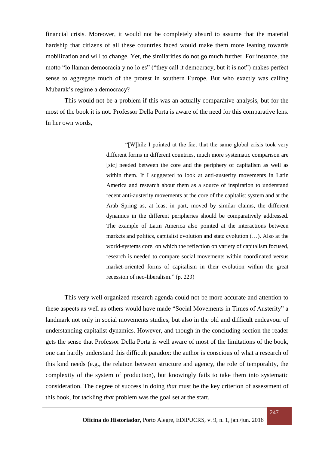financial crisis. Moreover, it would not be completely absurd to assume that the material hardship that citizens of all these countries faced would make them more leaning towards mobilization and will to change. Yet, the similarities do not go much further. For instance, the motto "lo llaman democracia y no lo es" ("they call it democracy, but it is not") makes perfect sense to aggregate much of the protest in southern Europe. But who exactly was calling Mubarak's regime a democracy?

This would not be a problem if this was an actually comparative analysis, but for the most of the book it is not. Professor Della Porta is aware of the need for this comparative lens. In her own words,

> "[W]hile I pointed at the fact that the same global crisis took very different forms in different countries, much more systematic comparison are [sic] needed between the core and the periphery of capitalism as well as within them. If I suggested to look at anti-austerity movements in Latin America and research about them as a source of inspiration to understand recent anti-austerity movements at the core of the capitalist system and at the Arab Spring as, at least in part, moved by similar claims, the different dynamics in the different peripheries should be comparatively addressed. The example of Latin America also pointed at the interactions between markets and politics, capitalist evolution and state evolution (…). Also at the world-systems core, on which the reflection on variety of capitalism focused, research is needed to compare social movements within coordinated versus market-oriented forms of capitalism in their evolution within the great recession of neo-liberalism." (p. 223)

This very well organized research agenda could not be more accurate and attention to these aspects as well as others would have made "Social Movements in Times of Austerity" a landmark not only in social movements studies, but also in the old and difficult endeavour of understanding capitalist dynamics. However, and though in the concluding section the reader gets the sense that Professor Della Porta is well aware of most of the limitations of the book, one can hardly understand this difficult paradox: the author is conscious of what a research of this kind needs (e.g., the relation between structure and agency, the role of temporality, the complexity of the system of production), but knowingly fails to take them into systematic consideration. The degree of success in doing *that* must be the key criterion of assessment of this book, for tackling *that* problem was the goal set at the start.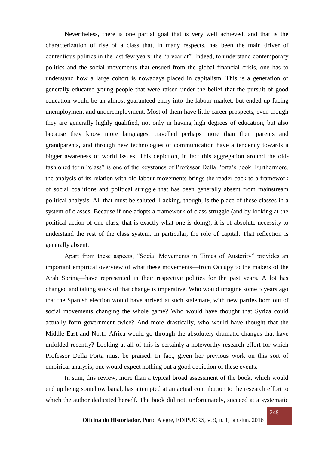Nevertheless, there is one partial goal that is very well achieved, and that is the characterization of rise of a class that, in many respects, has been the main driver of contentious politics in the last few years: the "precariat". Indeed, to understand contemporary politics and the social movements that ensued from the global financial crisis, one has to understand how a large cohort is nowadays placed in capitalism. This is a generation of generally educated young people that were raised under the belief that the pursuit of good education would be an almost guaranteed entry into the labour market, but ended up facing unemployment and underemployment. Most of them have little career prospects, even though they are generally highly qualified, not only in having high degrees of education, but also because they know more languages, travelled perhaps more than their parents and grandparents, and through new technologies of communication have a tendency towards a bigger awareness of world issues. This depiction, in fact this aggregation around the oldfashioned term "class" is one of the keystones of Professor Della Porta's book. Furthermore, the analysis of its relation with old labour movements brings the reader back to a framework of social coalitions and political struggle that has been generally absent from mainstream political analysis. All that must be saluted. Lacking, though, is the place of these classes in a system of classes. Because if one adopts a framework of class struggle (and by looking at the political action of one class, that is exactly what one is doing), it is of absolute necessity to understand the rest of the class system. In particular, the role of capital. That reflection is generally absent.

Apart from these aspects, "Social Movements in Times of Austerity" provides an important empirical overview of what these movements—from Occupy to the makers of the Arab Spring—have represented in their respective polities for the past years. A lot has changed and taking stock of that change is imperative. Who would imagine some 5 years ago that the Spanish election would have arrived at such stalemate, with new parties born out of social movements changing the whole game? Who would have thought that Syriza could actually form government twice? And more drastically, who would have thought that the Middle East and North Africa would go through the absolutely dramatic changes that have unfolded recently? Looking at all of this is certainly a noteworthy research effort for which Professor Della Porta must be praised. In fact, given her previous work on this sort of empirical analysis, one would expect nothing but a good depiction of these events.

In sum, this review, more than a typical broad assessment of the book, which would end up being somehow banal, has attempted at an actual contribution to the research effort to which the author dedicated herself. The book did not, unfortunately, succeed at a systematic